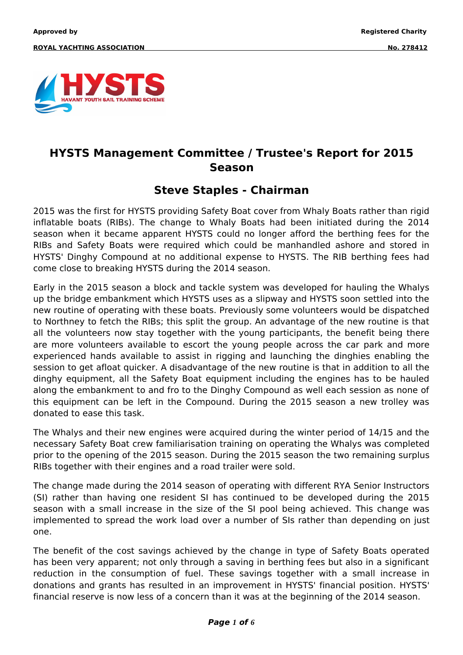

## **HYSTS Management Committee / Trustee's Report for 2015 Season**

### **Steve Staples - Chairman**

2015 was the first for HYSTS providing Safety Boat cover from Whaly Boats rather than rigid inflatable boats (RIBs). The change to Whaly Boats had been initiated during the 2014 season when it became apparent HYSTS could no longer afford the berthing fees for the RIBs and Safety Boats were required which could be manhandled ashore and stored in HYSTS' Dinghy Compound at no additional expense to HYSTS. The RIB berthing fees had come close to breaking HYSTS during the 2014 season.

Early in the 2015 season a block and tackle system was developed for hauling the Whalys up the bridge embankment which HYSTS uses as a slipway and HYSTS soon settled into the new routine of operating with these boats. Previously some volunteers would be dispatched to Northney to fetch the RIBs; this split the group. An advantage of the new routine is that all the volunteers now stay together with the young participants, the benefit being there are more volunteers available to escort the young people across the car park and more experienced hands available to assist in rigging and launching the dinghies enabling the session to get afloat quicker. A disadvantage of the new routine is that in addition to all the dinghy equipment, all the Safety Boat equipment including the engines has to be hauled along the embankment to and fro to the Dinghy Compound as well each session as none of this equipment can be left in the Compound. During the 2015 season a new trolley was donated to ease this task.

The Whalys and their new engines were acquired during the winter period of 14/15 and the necessary Safety Boat crew familiarisation training on operating the Whalys was completed prior to the opening of the 2015 season. During the 2015 season the two remaining surplus RIBs together with their engines and a road trailer were sold.

The change made during the 2014 season of operating with different RYA Senior Instructors (SI) rather than having one resident SI has continued to be developed during the 2015 season with a small increase in the size of the SI pool being achieved. This change was implemented to spread the work load over a number of SIs rather than depending on just one.

The benefit of the cost savings achieved by the change in type of Safety Boats operated has been very apparent; not only through a saving in berthing fees but also in a significant reduction in the consumption of fuel. These savings together with a small increase in donations and grants has resulted in an improvement in HYSTS' financial position. HYSTS' financial reserve is now less of a concern than it was at the beginning of the 2014 season.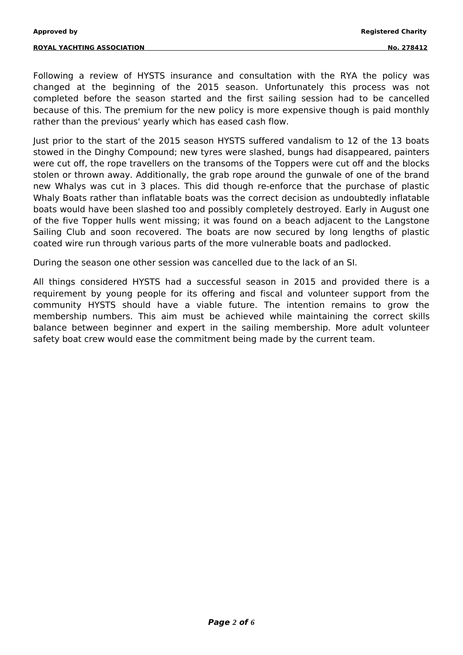Following a review of HYSTS insurance and consultation with the RYA the policy was changed at the beginning of the 2015 season. Unfortunately this process was not completed before the season started and the first sailing session had to be cancelled because of this. The premium for the new policy is more expensive though is paid monthly rather than the previous' yearly which has eased cash flow.

Just prior to the start of the 2015 season HYSTS suffered vandalism to 12 of the 13 boats stowed in the Dinghy Compound; new tyres were slashed, bungs had disappeared, painters were cut off, the rope travellers on the transoms of the Toppers were cut off and the blocks stolen or thrown away. Additionally, the grab rope around the gunwale of one of the brand new Whalys was cut in 3 places. This did though re-enforce that the purchase of plastic Whaly Boats rather than inflatable boats was the correct decision as undoubtedly inflatable boats would have been slashed too and possibly completely destroyed. Early in August one of the five Topper hulls went missing; it was found on a beach adjacent to the Langstone Sailing Club and soon recovered. The boats are now secured by long lengths of plastic coated wire run through various parts of the more vulnerable boats and padlocked.

During the season one other session was cancelled due to the lack of an SI.

All things considered HYSTS had a successful season in 2015 and provided there is a requirement by young people for its offering and fiscal and volunteer support from the community HYSTS should have a viable future. The intention remains to grow the membership numbers. This aim must be achieved while maintaining the correct skills balance between beginner and expert in the sailing membership. More adult volunteer safety boat crew would ease the commitment being made by the current team.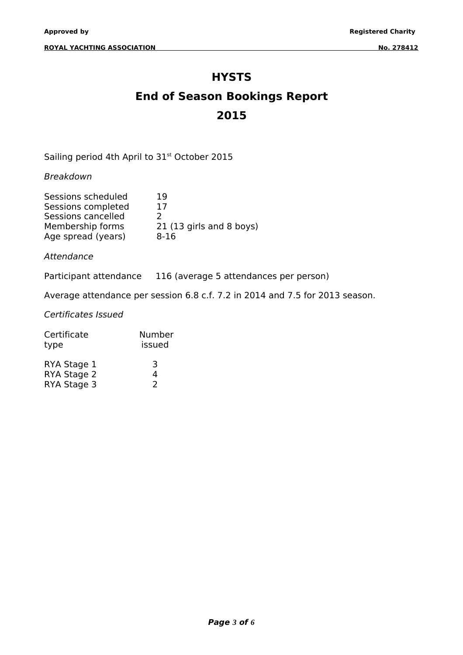#### **HYSTS**

# **End of Season Bookings Report 2015**

Sailing period 4th April to 31<sup>st</sup> October 2015

Breakdown

| Sessions scheduled | 19                       |
|--------------------|--------------------------|
| Sessions completed | 17                       |
| Sessions cancelled | $\mathcal{L}$            |
| Membership forms   | 21 (13 girls and 8 boys) |
| Age spread (years) | $8 - 16$                 |

Attendance

Participant attendance 116 (average 5 attendances per person)

Average attendance per session 6.8 c.f. 7.2 in 2014 and 7.5 for 2013 season.

Certificates Issued

| Certificate | Number |
|-------------|--------|
| type        | issued |
| RYA Stage 1 | 3      |
| RYA Stage 2 | 4      |
| RYA Stage 3 | 2      |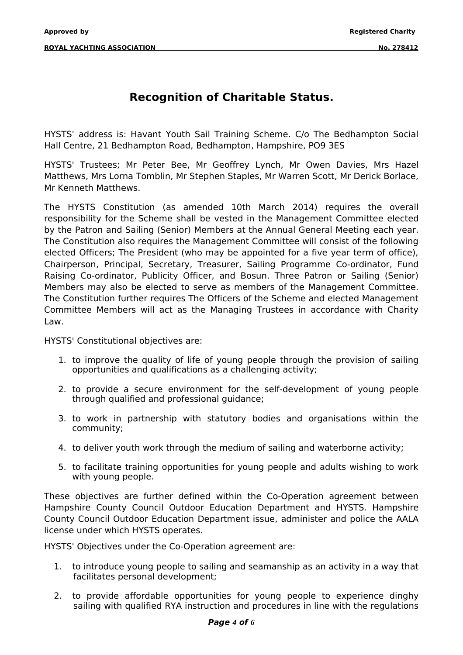## **Recognition of Charitable Status.**

HYSTS' address is: Havant Youth Sail Training Scheme. C/o The Bedhampton Social Hall Centre, 21 Bedhampton Road, Bedhampton, Hampshire, PO9 3ES

HYSTS' Trustees; Mr Peter Bee, Mr Geoffrey Lynch, Mr Owen Davies, Mrs Hazel Matthews, Mrs Lorna Tomblin, Mr Stephen Staples, Mr Warren Scott, Mr Derick Borlace, Mr Kenneth Matthews.

The HYSTS Constitution (as amended 10th March 2014) requires the overall responsibility for the Scheme shall be vested in the Management Committee elected by the Patron and Sailing (Senior) Members at the Annual General Meeting each year. The Constitution also requires the Management Committee will consist of the following elected Officers; The President (who may be appointed for a five year term of office), Chairperson, Principal, Secretary, Treasurer, Sailing Programme Co-ordinator, Fund Raising Co-ordinator, Publicity Officer, and Bosun. Three Patron or Sailing (Senior) Members may also be elected to serve as members of the Management Committee. The Constitution further requires The Officers of the Scheme and elected Management Committee Members will act as the Managing Trustees in accordance with Charity Law.

HYSTS' Constitutional objectives are:

- 1. to improve the quality of life of young people through the provision of sailing opportunities and qualifications as a challenging activity;
- 2. to provide a secure environment for the self-development of young people through qualified and professional guidance;
- 3. to work in partnership with statutory bodies and organisations within the community;
- 4. to deliver youth work through the medium of sailing and waterborne activity;
- 5. to facilitate training opportunities for young people and adults wishing to work with young people.

These objectives are further defined within the Co-Operation agreement between Hampshire County Council Outdoor Education Department and HYSTS. Hampshire County Council Outdoor Education Department issue, administer and police the AALA license under which HYSTS operates.

HYSTS' Objectives under the Co-Operation agreement are:

- 1. to introduce young people to sailing and seamanship as an activity in a way that facilitates personal development;
- 2. to provide affordable opportunities for young people to experience dinghy sailing with qualified RYA instruction and procedures in line with the regulations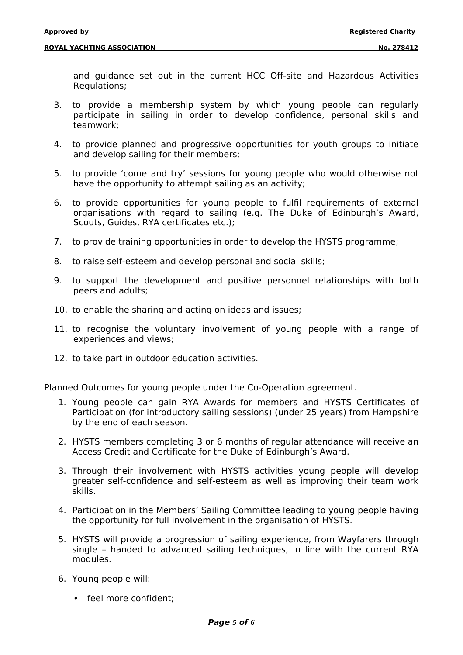and guidance set out in the current HCC Off-site and Hazardous Activities Regulations;

- 3. to provide a membership system by which young people can regularly participate in sailing in order to develop confidence, personal skills and teamwork;
- 4. to provide planned and progressive opportunities for youth groups to initiate and develop sailing for their members;
- 5. to provide 'come and try' sessions for young people who would otherwise not have the opportunity to attempt sailing as an activity;
- 6. to provide opportunities for young people to fulfil requirements of external organisations with regard to sailing (e.g. The Duke of Edinburgh's Award, Scouts, Guides, RYA certificates etc.);
- 7. to provide training opportunities in order to develop the HYSTS programme;
- 8. to raise self-esteem and develop personal and social skills;
- 9. to support the development and positive personnel relationships with both peers and adults;
- 10. to enable the sharing and acting on ideas and issues;
- 11. to recognise the voluntary involvement of young people with a range of experiences and views;
- 12. to take part in outdoor education activities.

Planned Outcomes for young people under the Co-Operation agreement.

- 1. Young people can gain RYA Awards for members and HYSTS Certificates of Participation (for introductory sailing sessions) (under 25 years) from Hampshire by the end of each season.
- 2. HYSTS members completing 3 or 6 months of regular attendance will receive an Access Credit and Certificate for the Duke of Edinburgh's Award.
- 3. Through their involvement with HYSTS activities young people will develop greater self-confidence and self-esteem as well as improving their team work skills.
- 4. Participation in the Members' Sailing Committee leading to young people having the opportunity for full involvement in the organisation of HYSTS.
- 5. HYSTS will provide a progression of sailing experience, from Wayfarers through single – handed to advanced sailing techniques, in line with the current RYA modules.
- 6. Young people will:
	- feel more confident;